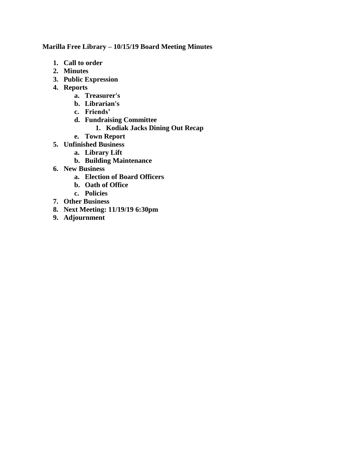# **Marilla Free Library – 10/15/19 Board Meeting Minutes**

- **1. Call to order**
- **2. Minutes**
- **3. Public Expression**
- **4. Reports**
	- **a. Treasurer's**
	- **b. Librarian's**
	- **c. Friends'**
	- **d. Fundraising Committee**
		- **1. Kodiak Jacks Dining Out Recap**
	- **e. Town Report**
- **5. Unfinished Business** 
	- **a. Library Lift**
		- **b. Building Maintenance**
- **6. New Business**
	- **a. Election of Board Officers**
	- **b. Oath of Office**
	- **c. Policies**
- **7. Other Business**
- **8. Next Meeting: 11/19/19 6:30pm**
- **9. Adjournment**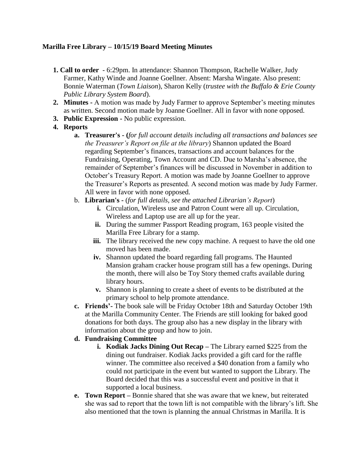# **Marilla Free Library – 10/15/19 Board Meeting Minutes**

- **1. Call to order** 6:29pm. In attendance: Shannon Thompson, Rachelle Walker, Judy Farmer, Kathy Winde and Joanne Goellner. Absent: Marsha Wingate. Also present: Bonnie Waterman (*Town Liaison*), Sharon Kelly (*trustee with the Buffalo & Erie County Public Library System Board*).
- **2. Minutes -** A motion was made by Judy Farmer to approve September's meeting minutes as written. Second motion made by Joanne Goellner. All in favor with none opposed.
- **3. Public Expression -** No public expression.
- **4. Reports**
	- **a. Treasurer's - (***for full account details including all transactions and balances see the Treasurer's Report on file at the library*) Shannon updated the Board regarding September's finances, transactions and account balances for the Fundraising, Operating, Town Account and CD. Due to Marsha's absence, the remainder of September's finances will be discussed in November in addition to October's Treasury Report. A motion was made by Joanne Goellner to approve the Treasurer's Reports as presented. A second motion was made by Judy Farmer. All were in favor with none opposed.
	- b. **Librarian's -** (*for full details, see the attached Librarian's Report*)
		- **i.** Circulation, Wireless use and Patron Count were all up. Circulation, Wireless and Laptop use are all up for the year.
		- **ii.** During the summer Passport Reading program, 163 people visited the Marilla Free Library for a stamp.
		- **iii.** The library received the new copy machine. A request to have the old one moved has been made.
		- **iv.** Shannon updated the board regarding fall programs. The Haunted Mansion graham cracker house program still has a few openings. During the month, there will also be Toy Story themed crafts available during library hours.
		- **v.** Shannon is planning to create a sheet of events to be distributed at the primary school to help promote attendance.
	- **c. Friends'-** The book sale will be Friday October 18th and Saturday October 19th at the Marilla Community Center. The Friends are still looking for baked good donations for both days. The group also has a new display in the library with information about the group and how to join.

# **d. Fundraising Committee**

- **i. Kodiak Jacks Dining Out Recap –** The Library earned \$225 from the dining out fundraiser. Kodiak Jacks provided a gift card for the raffle winner. The committee also received a \$40 donation from a family who could not participate in the event but wanted to support the Library. The Board decided that this was a successful event and positive in that it supported a local business.
- **e. Town Report –** Bonnie shared that she was aware that we knew, but reiterated she was sad to report that the town lift is not compatible with the library's lift. She also mentioned that the town is planning the annual Christmas in Marilla. It is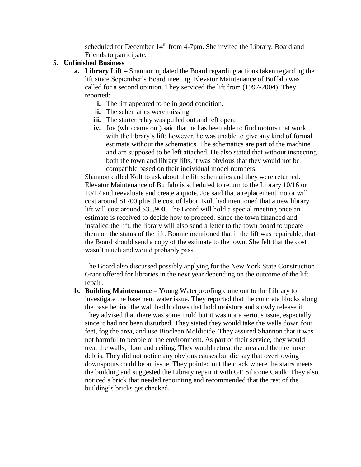scheduled for December 14<sup>th</sup> from 4-7pm. She invited the Library, Board and Friends to participate.

### **5. Unfinished Business**

- **a. Library Lift –** Shannon updated the Board regarding actions taken regarding the lift since September's Board meeting. Elevator Maintenance of Buffalo was called for a second opinion. They serviced the lift from (1997-2004). They reported:
	- **i.** The lift appeared to be in good condition.
	- **ii.** The schematics were missing.
	- iii. The starter relay was pulled out and left open.
	- **iv.** Joe (who came out) said that he has been able to find motors that work with the library's lift; however, he was unable to give any kind of formal estimate without the schematics. The schematics are part of the machine and are supposed to be left attached. He also stated that without inspecting both the town and library lifts, it was obvious that they would not be compatible based on their individual model numbers.

Shannon called Kolt to ask about the lift schematics and they were returned. Elevator Maintenance of Buffalo is scheduled to return to the Library 10/16 or 10/17 and reevaluate and create a quote. Joe said that a replacement motor will cost around \$1700 plus the cost of labor. Kolt had mentioned that a new library lift will cost around \$35,900. The Board will hold a special meeting once an estimate is received to decide how to proceed. Since the town financed and installed the lift, the library will also send a letter to the town board to update them on the status of the lift. Bonnie mentioned that if the lift was repairable, that the Board should send a copy of the estimate to the town. She felt that the cost wasn't much and would probably pass.

The Board also discussed possibly applying for the New York State Construction Grant offered for libraries in the next year depending on the outcome of the lift repair.

**b. Building Maintenance –** Young Waterproofing came out to the Library to investigate the basement water issue. They reported that the concrete blocks along the base behind the wall had hollows that hold moisture and slowly release it. They advised that there was some mold but it was not a serious issue, especially since it had not been disturbed. They stated they would take the walls down four feet, fog the area, and use Bioclean Moldicide. They assured Shannon that it was not harmful to people or the environment. As part of their service, they would treat the walls, floor and ceiling. They would retreat the area and then remove debris. They did not notice any obvious causes but did say that overflowing downspouts could be an issue. They pointed out the crack where the stairs meets the building and suggested the Library repair it with GE Silicone Caulk. They also noticed a brick that needed repointing and recommended that the rest of the building's bricks get checked.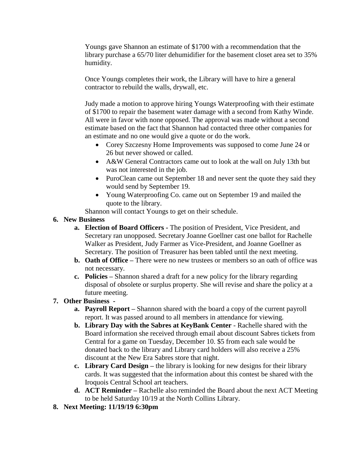Youngs gave Shannon an estimate of \$1700 with a recommendation that the library purchase a 65/70 liter dehumidifier for the basement closet area set to 35% humidity.

Once Youngs completes their work, the Library will have to hire a general contractor to rebuild the walls, drywall, etc.

Judy made a motion to approve hiring Youngs Waterproofing with their estimate of \$1700 to repair the basement water damage with a second from Kathy Winde. All were in favor with none opposed. The approval was made without a second estimate based on the fact that Shannon had contacted three other companies for an estimate and no one would give a quote or do the work.

- Corey Szczesny Home Improvements was supposed to come June 24 or 26 but never showed or called.
- A&W General Contractors came out to look at the wall on July 13th but was not interested in the job.
- PuroClean came out September 18 and never sent the quote they said they would send by September 19.
- Young Waterproofing Co. came out on September 19 and mailed the quote to the library.

Shannon will contact Youngs to get on their schedule.

- **6. New Business**
	- **a. Election of Board Officers -** The position of President, Vice President, and Secretary ran unopposed. Secretary Joanne Goellner cast one ballot for Rachelle Walker as President, Judy Farmer as Vice-President, and Joanne Goellner as Secretary. The position of Treasurer has been tabled until the next meeting.
	- **b. Oath of Office –** There were no new trustees or members so an oath of office was not necessary.
	- **c. Policies –** Shannon shared a draft for a new policy for the library regarding disposal of obsolete or surplus property. She will revise and share the policy at a future meeting.

# **7. Other Business -**

- **a. Payroll Report –** Shannon shared with the board a copy of the current payroll report. It was passed around to all members in attendance for viewing.
- **b. Library Day with the Sabres at KeyBank Center** Rachelle shared with the Board information she received through email about discount Sabres tickets from Central for a game on Tuesday, December 10. \$5 from each sale would be donated back to the library and Library card holders will also receive a 25% discount at the New Era Sabres store that night.
- **c. Library Card Design –** the library is looking for new designs for their library cards. It was suggested that the information about this contest be shared with the Iroquois Central School art teachers.
- **d. ACT Reminder –** Rachelle also reminded the Board about the next ACT Meeting to be held Saturday 10/19 at the North Collins Library.
- **8. Next Meeting: 11/19/19 6:30pm**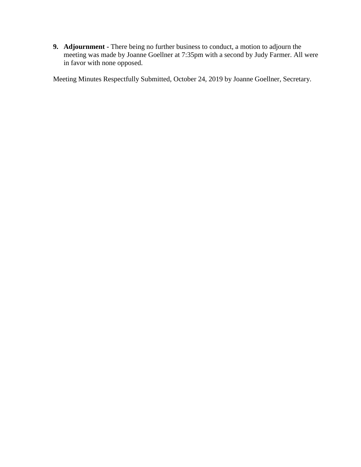**9. Adjournment -** There being no further business to conduct, a motion to adjourn the meeting was made by Joanne Goellner at 7:35pm with a second by Judy Farmer. All were in favor with none opposed.

Meeting Minutes Respectfully Submitted, October 24, 2019 by Joanne Goellner, Secretary.